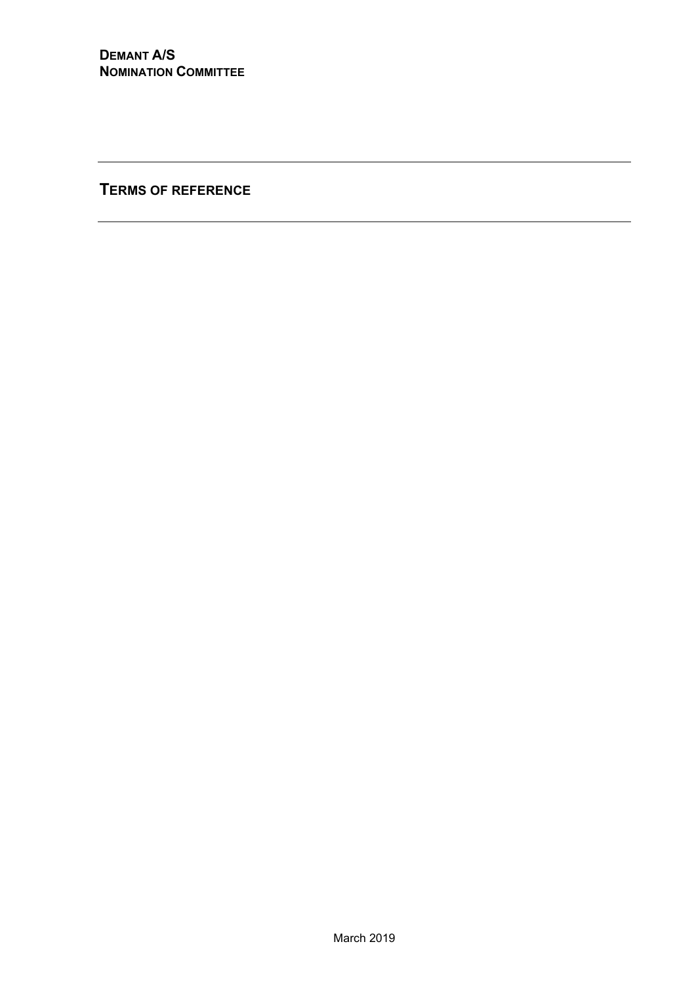**TERMS OF REFERENCE**